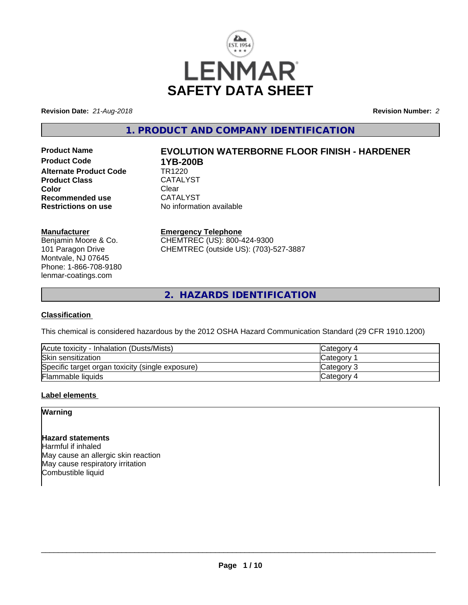

**Revision Date:** *21-Aug-2018* **Revision Number:** *2*

**1. PRODUCT AND COMPANY IDENTIFICATION**

**Product Code 1YB-200B**<br> **Alternate Product Code** TR1220 **Alternate Product Code Product Class** CATALYST<br> **Color** Clear **Color** Clear Clear **Recommended use** CATALYST<br> **Restrictions on use** No information

# **Product Name EVOLUTION WATERBORNE FLOOR FINISH - HARDENER**

**No information available** 

# **Manufacturer**

Benjamin Moore & Co. 101 Paragon Drive Montvale, NJ 07645 Phone: 1-866-708-9180 lenmar-coatings.com

# **Emergency Telephone**

CHEMTREC (US): 800-424-9300 CHEMTREC (outside US): (703)-527-3887

**2. HAZARDS IDENTIFICATION**

# **Classification**

This chemical is considered hazardous by the 2012 OSHA Hazard Communication Standard (29 CFR 1910.1200)

| Acute toxicity - Inhalation (Dusts/Mists)        | <b>Category 4</b> |
|--------------------------------------------------|-------------------|
| Skin sensitization                               | <b>Category</b>   |
| Specific target organ toxicity (single exposure) | Category 3        |
| Flammable liquids                                | Category 4        |

# **Label elements**

# **Warning**

# **Hazard statements**

Harmful if inhaled May cause an allergic skin reaction May cause respiratory irritation Combustible liquid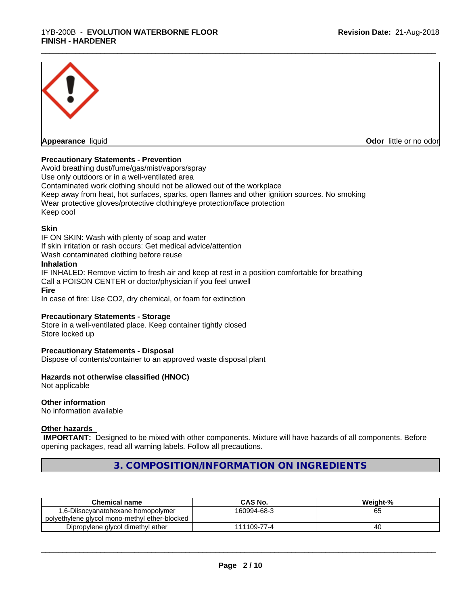

**Appearance** liquid **CODO** *Appearance liquid* **Odor** *CODO CODO* **<b>***CODO CODO CODO CODO CODO* 

# **Precautionary Statements - Prevention**

Avoid breathing dust/fume/gas/mist/vapors/spray Use only outdoors or in a well-ventilated area Contaminated work clothing should not be allowed out of the workplace Keep away from heat, hot surfaces, sparks, open flames and other ignition sources. No smoking Wear protective gloves/protective clothing/eye protection/face protection Keep cool

\_\_\_\_\_\_\_\_\_\_\_\_\_\_\_\_\_\_\_\_\_\_\_\_\_\_\_\_\_\_\_\_\_\_\_\_\_\_\_\_\_\_\_\_\_\_\_\_\_\_\_\_\_\_\_\_\_\_\_\_\_\_\_\_\_\_\_\_\_\_\_\_\_\_\_\_\_\_\_\_\_\_\_\_\_\_\_\_\_\_\_\_\_

## **Skin**

IF ON SKIN: Wash with plenty of soap and water If skin irritation or rash occurs: Get medical advice/attention Wash contaminated clothing before reuse **Inhalation** IF INHALED: Remove victim to fresh air and keep at rest in a position comfortable for breathing

Call a POISON CENTER or doctor/physician if you feel unwell

#### **Fire**

In case of fire: Use CO2, dry chemical, or foam for extinction

## **Precautionary Statements - Storage**

Store in a well-ventilated place. Keep container tightly closed Store locked up

## **Precautionary Statements - Disposal**

Dispose of contents/container to an approved waste disposal plant

## **Hazards not otherwise classified (HNOC)**

Not applicable

# **Other information**

No information available

# **Other hazards**

 **IMPORTANT:** Designed to be mixed with other components. Mixture will have hazards of all components. Before opening packages, read all warning labels. Follow all precautions.

**3. COMPOSITION/INFORMATION ON INGREDIENTS**

| Chemical name                                 | CAS No.     | Weight-% |
|-----------------------------------------------|-------------|----------|
| 1,6-Diisocyanatohexane homopolymer            | 160994-68-3 | 65       |
| polyethylene glycol mono-methyl ether-blocked |             |          |
| Dipropylene glycol dimethyl ether             | 111109-77-4 | 4U       |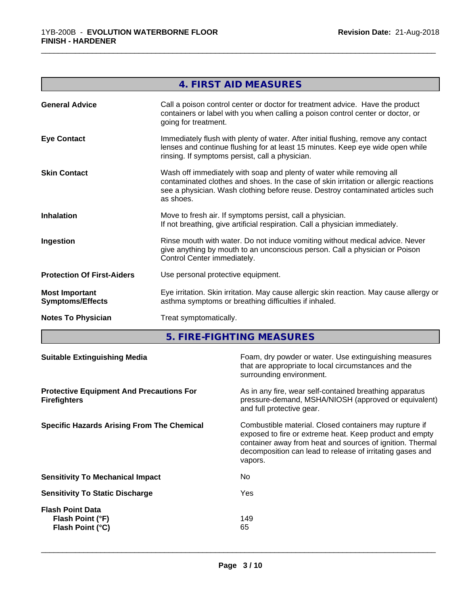|                                                  | 4. FIRST AID MEASURES                                                                                                                                                                                                                                         |
|--------------------------------------------------|---------------------------------------------------------------------------------------------------------------------------------------------------------------------------------------------------------------------------------------------------------------|
| <b>General Advice</b>                            | Call a poison control center or doctor for treatment advice. Have the product<br>containers or label with you when calling a poison control center or doctor, or<br>going for treatment.                                                                      |
| <b>Eye Contact</b>                               | Immediately flush with plenty of water. After initial flushing, remove any contact<br>lenses and continue flushing for at least 15 minutes. Keep eye wide open while<br>rinsing. If symptoms persist, call a physician.                                       |
| <b>Skin Contact</b>                              | Wash off immediately with soap and plenty of water while removing all<br>contaminated clothes and shoes. In the case of skin irritation or allergic reactions<br>see a physician. Wash clothing before reuse. Destroy contaminated articles such<br>as shoes. |
| <b>Inhalation</b>                                | Move to fresh air. If symptoms persist, call a physician.<br>If not breathing, give artificial respiration. Call a physician immediately.                                                                                                                     |
| Ingestion                                        | Rinse mouth with water. Do not induce vomiting without medical advice. Never<br>give anything by mouth to an unconscious person. Call a physician or Poison<br>Control Center immediately.                                                                    |
| <b>Protection Of First-Aiders</b>                | Use personal protective equipment.                                                                                                                                                                                                                            |
| <b>Most Important</b><br><b>Symptoms/Effects</b> | Eye irritation. Skin irritation. May cause allergic skin reaction. May cause allergy or<br>asthma symptoms or breathing difficulties if inhaled.                                                                                                              |
| <b>Notes To Physician</b>                        | Treat symptomatically.                                                                                                                                                                                                                                        |

\_\_\_\_\_\_\_\_\_\_\_\_\_\_\_\_\_\_\_\_\_\_\_\_\_\_\_\_\_\_\_\_\_\_\_\_\_\_\_\_\_\_\_\_\_\_\_\_\_\_\_\_\_\_\_\_\_\_\_\_\_\_\_\_\_\_\_\_\_\_\_\_\_\_\_\_\_\_\_\_\_\_\_\_\_\_\_\_\_\_\_\_\_

**5. FIRE-FIGHTING MEASURES**

| <b>Suitable Extinguishing Media</b>                                    | Foam, dry powder or water. Use extinguishing measures<br>that are appropriate to local circumstances and the<br>surrounding environment.                                                                                                               |
|------------------------------------------------------------------------|--------------------------------------------------------------------------------------------------------------------------------------------------------------------------------------------------------------------------------------------------------|
| <b>Protective Equipment And Precautions For</b><br><b>Firefighters</b> | As in any fire, wear self-contained breathing apparatus<br>pressure-demand, MSHA/NIOSH (approved or equivalent)<br>and full protective gear.                                                                                                           |
| <b>Specific Hazards Arising From The Chemical</b>                      | Combustible material. Closed containers may rupture if<br>exposed to fire or extreme heat. Keep product and empty<br>container away from heat and sources of ignition. Thermal<br>decomposition can lead to release of irritating gases and<br>vapors. |
| <b>Sensitivity To Mechanical Impact</b>                                | No.                                                                                                                                                                                                                                                    |
| <b>Sensitivity To Static Discharge</b>                                 | Yes                                                                                                                                                                                                                                                    |
| <b>Flash Point Data</b><br>Flash Point (°F)<br>Flash Point (°C)        | 149<br>65                                                                                                                                                                                                                                              |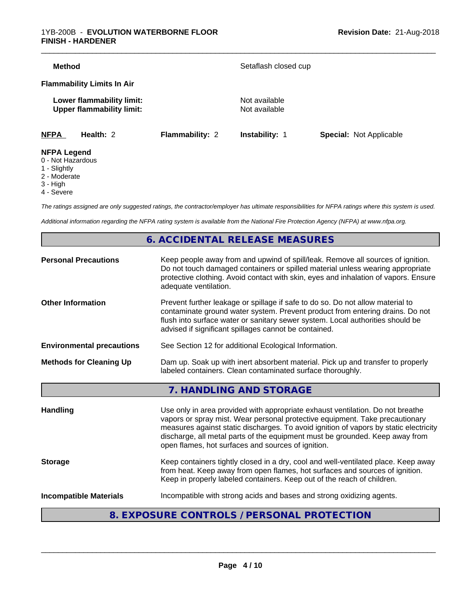| <b>Method</b>                                                 |                        | Setaflash closed cup           |                                |
|---------------------------------------------------------------|------------------------|--------------------------------|--------------------------------|
|                                                               |                        |                                |                                |
| <b>Flammability Limits In Air</b>                             |                        |                                |                                |
| Lower flammability limit:<br><b>Upper flammability limit:</b> |                        | Not available<br>Not available |                                |
| <b>NFPA</b><br>Health: 2                                      | <b>Flammability: 2</b> | Instability: 1                 | <b>Special: Not Applicable</b> |

- 1 Slightly
- 2 Moderate
- 3 High
- 4 Severe

*The ratings assigned are only suggested ratings, the contractor/employer has ultimate responsibilities for NFPA ratings where this system is used.*

*Additional information regarding the NFPA rating system is available from the National Fire Protection Agency (NFPA) at www.nfpa.org.*

# **6. ACCIDENTAL RELEASE MEASURES**

| <b>Personal Precautions</b>                                                                                                                                                     | Keep people away from and upwind of spill/leak. Remove all sources of ignition.<br>Do not touch damaged containers or spilled material unless wearing appropriate<br>protective clothing. Avoid contact with skin, eyes and inhalation of vapors. Ensure<br>adequate ventilation.                                                                                                             |
|---------------------------------------------------------------------------------------------------------------------------------------------------------------------------------|-----------------------------------------------------------------------------------------------------------------------------------------------------------------------------------------------------------------------------------------------------------------------------------------------------------------------------------------------------------------------------------------------|
| <b>Other Information</b>                                                                                                                                                        | Prevent further leakage or spillage if safe to do so. Do not allow material to<br>contaminate ground water system. Prevent product from entering drains. Do not<br>flush into surface water or sanitary sewer system. Local authorities should be<br>advised if significant spillages cannot be contained.                                                                                    |
| <b>Environmental precautions</b>                                                                                                                                                | See Section 12 for additional Ecological Information.                                                                                                                                                                                                                                                                                                                                         |
| Dam up. Soak up with inert absorbent material. Pick up and transfer to properly<br><b>Methods for Cleaning Up</b><br>labeled containers. Clean contaminated surface thoroughly. |                                                                                                                                                                                                                                                                                                                                                                                               |
|                                                                                                                                                                                 | 7. HANDLING AND STORAGE                                                                                                                                                                                                                                                                                                                                                                       |
| <b>Handling</b>                                                                                                                                                                 | Use only in area provided with appropriate exhaust ventilation. Do not breathe<br>vapors or spray mist. Wear personal protective equipment. Take precautionary<br>measures against static discharges. To avoid ignition of vapors by static electricity<br>discharge, all metal parts of the equipment must be grounded. Keep away from<br>open flames, hot surfaces and sources of ignition. |
| <b>Storage</b>                                                                                                                                                                  | Keep containers tightly closed in a dry, cool and well-ventilated place. Keep away<br>from heat. Keep away from open flames, hot surfaces and sources of ignition.<br>Keep in properly labeled containers. Keep out of the reach of children.                                                                                                                                                 |
| <b>Incompatible Materials</b>                                                                                                                                                   | Incompatible with strong acids and bases and strong oxidizing agents.                                                                                                                                                                                                                                                                                                                         |

# **8. EXPOSURE CONTROLS / PERSONAL PROTECTION**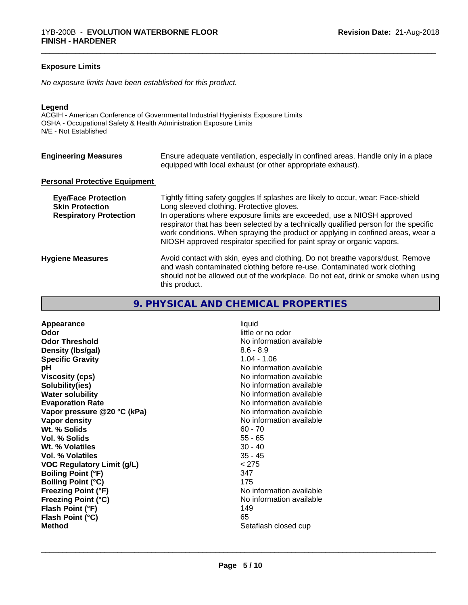# **Exposure Limits**

*No exposure limits have been established for this product.*

#### **Legend**

ACGIH - American Conference of Governmental Industrial Hygienists Exposure Limits OSHA - Occupational Safety & Health Administration Exposure Limits N/E - Not Established

| <b>Engineering Measures</b>                                                           | Ensure adequate ventilation, especially in confined areas. Handle only in a place<br>equipped with local exhaust (or other appropriate exhaust).                                                                                                                                                                                                                                                                                                               |
|---------------------------------------------------------------------------------------|----------------------------------------------------------------------------------------------------------------------------------------------------------------------------------------------------------------------------------------------------------------------------------------------------------------------------------------------------------------------------------------------------------------------------------------------------------------|
| <b>Personal Protective Equipment</b>                                                  |                                                                                                                                                                                                                                                                                                                                                                                                                                                                |
| <b>Eye/Face Protection</b><br><b>Skin Protection</b><br><b>Respiratory Protection</b> | Tightly fitting safety goggles If splashes are likely to occur, wear: Face-shield<br>Long sleeved clothing. Protective gloves.<br>In operations where exposure limits are exceeded, use a NIOSH approved<br>respirator that has been selected by a technically qualified person for the specific<br>work conditions. When spraying the product or applying in confined areas, wear a<br>NIOSH approved respirator specified for paint spray or organic vapors. |
| <b>Hygiene Measures</b>                                                               | Avoid contact with skin, eyes and clothing. Do not breathe vapors/dust. Remove<br>and wash contaminated clothing before re-use. Contaminated work clothing<br>should not be allowed out of the workplace. Do not eat, drink or smoke when using<br>this product.                                                                                                                                                                                               |

\_\_\_\_\_\_\_\_\_\_\_\_\_\_\_\_\_\_\_\_\_\_\_\_\_\_\_\_\_\_\_\_\_\_\_\_\_\_\_\_\_\_\_\_\_\_\_\_\_\_\_\_\_\_\_\_\_\_\_\_\_\_\_\_\_\_\_\_\_\_\_\_\_\_\_\_\_\_\_\_\_\_\_\_\_\_\_\_\_\_\_\_\_

# **9. PHYSICAL AND CHEMICAL PROPERTIES**

**Appearance** liquid **Odor Odor** little or no odor<br> **Odor Threshold Containery Containery Containery Containery Containery Property** No information **Density (Ibs/gal)** 8.6 - 8.9<br> **Specific Gravity** 8.6 - 8.9<br> **Specific Gravity Specific Gravity**<br>pH **Viscosity (cps)** No information available in the Viscosity (cps) **Solubility(ies)** No information available **Water solubility Water solubility Water solubility Water solubility Water solubility Water solution Evaporation Rate Evaporation Rate No information available Vapor pressure @20 °C (kPa)**<br> **Vapor density**<br> **Vapor density**<br> **Vapor density Wt. % Solids** 60 - 70 **Vol. % Solids** 55 - 65 **Wt. % Volatiles** 30 - 40 **Vol. % Volatiles VOC Regulatory Limit (g/L)** < 275 **Boiling Point (°F) Boiling Point (°C)** 175 **Freezing Point (°F)**<br> **Freezing Point (°C)**<br> **Freezing Point (°C)**<br> **No** information available **Freezing Point (°C) Flash Point (°F)** 149 **Flash Point (°C)** 65 **Method Method** Setaflash closed cup

**No information available No information available No information available**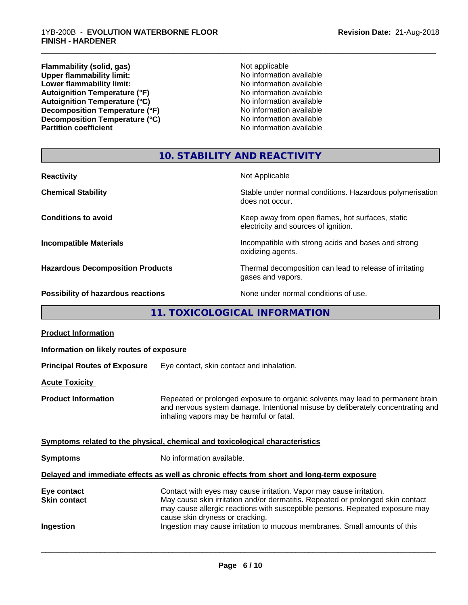**Flammability (solid, gas)** Not applicable **Upper flammability limit:**  $\qquad \qquad \qquad \mathsf{No}$  information available **Lower flammability limit:**<br> **Autoignition Temperature (°F)**<br>
Mo information available<br>
No information available Autoignition Temperature (°F)<br>
Autoignition Temperature (°C)<br>
No information available Autoignition Temperature (°C)<br>
Decomposition Temperature (°F)<br>
No information available **Decomposition Temperature (°F)**<br> **Decomposition Temperature (°C)**<br>
No information available **Decomposition Temperature (°C)**<br>Partition coefficient

**No information available** 

\_\_\_\_\_\_\_\_\_\_\_\_\_\_\_\_\_\_\_\_\_\_\_\_\_\_\_\_\_\_\_\_\_\_\_\_\_\_\_\_\_\_\_\_\_\_\_\_\_\_\_\_\_\_\_\_\_\_\_\_\_\_\_\_\_\_\_\_\_\_\_\_\_\_\_\_\_\_\_\_\_\_\_\_\_\_\_\_\_\_\_\_\_

# **10. STABILITY AND REACTIVITY**

| <b>Reactivity</b>                       | Not Applicable                                                                           |
|-----------------------------------------|------------------------------------------------------------------------------------------|
| <b>Chemical Stability</b>               | Stable under normal conditions. Hazardous polymerisation<br>does not occur.              |
| <b>Conditions to avoid</b>              | Keep away from open flames, hot surfaces, static<br>electricity and sources of ignition. |
| <b>Incompatible Materials</b>           | Incompatible with strong acids and bases and strong<br>oxidizing agents.                 |
| <b>Hazardous Decomposition Products</b> | Thermal decomposition can lead to release of irritating<br>gases and vapors.             |
| Possibility of hazardous reactions      | None under normal conditions of use.                                                     |

# **11. TOXICOLOGICAL INFORMATION**

| Information on likely routes of exposure<br>Eye contact, skin contact and inhalation.<br>Repeated or prolonged exposure to organic solvents may lead to permanent brain<br>and nervous system damage. Intentional misuse by deliberately concentrating and<br>inhaling vapors may be harmful or fatal.<br>Symptoms related to the physical, chemical and toxicological characteristics<br>No information available.<br>Delayed and immediate effects as well as chronic effects from short and long-term exposure<br>Contact with eyes may cause irritation. Vapor may cause irritation.<br>May cause skin irritation and/or dermatitis. Repeated or prolonged skin contact<br>may cause allergic reactions with susceptible persons. Repeated exposure may<br>cause skin dryness or cracking.<br>Ingestion may cause irritation to mucous membranes. Small amounts of this | <b>Product Information</b>          |  |
|-----------------------------------------------------------------------------------------------------------------------------------------------------------------------------------------------------------------------------------------------------------------------------------------------------------------------------------------------------------------------------------------------------------------------------------------------------------------------------------------------------------------------------------------------------------------------------------------------------------------------------------------------------------------------------------------------------------------------------------------------------------------------------------------------------------------------------------------------------------------------------|-------------------------------------|--|
|                                                                                                                                                                                                                                                                                                                                                                                                                                                                                                                                                                                                                                                                                                                                                                                                                                                                             |                                     |  |
|                                                                                                                                                                                                                                                                                                                                                                                                                                                                                                                                                                                                                                                                                                                                                                                                                                                                             | <b>Principal Routes of Exposure</b> |  |
|                                                                                                                                                                                                                                                                                                                                                                                                                                                                                                                                                                                                                                                                                                                                                                                                                                                                             | <b>Acute Toxicity</b>               |  |
|                                                                                                                                                                                                                                                                                                                                                                                                                                                                                                                                                                                                                                                                                                                                                                                                                                                                             | <b>Product Information</b>          |  |
|                                                                                                                                                                                                                                                                                                                                                                                                                                                                                                                                                                                                                                                                                                                                                                                                                                                                             |                                     |  |
|                                                                                                                                                                                                                                                                                                                                                                                                                                                                                                                                                                                                                                                                                                                                                                                                                                                                             | <b>Symptoms</b>                     |  |
|                                                                                                                                                                                                                                                                                                                                                                                                                                                                                                                                                                                                                                                                                                                                                                                                                                                                             |                                     |  |
|                                                                                                                                                                                                                                                                                                                                                                                                                                                                                                                                                                                                                                                                                                                                                                                                                                                                             | Eye contact<br><b>Skin contact</b>  |  |
|                                                                                                                                                                                                                                                                                                                                                                                                                                                                                                                                                                                                                                                                                                                                                                                                                                                                             | Ingestion                           |  |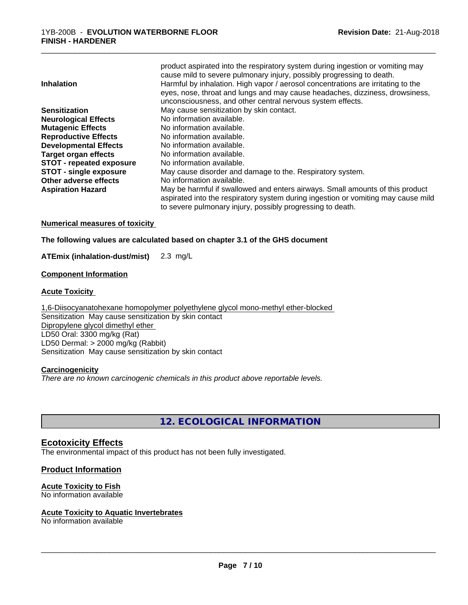|                                 | product aspirated into the respiratory system during ingestion or vomiting may<br>cause mild to severe pulmonary injury, possibly progressing to death.                                                                          |
|---------------------------------|----------------------------------------------------------------------------------------------------------------------------------------------------------------------------------------------------------------------------------|
| <b>Inhalation</b>               | Harmful by inhalation. High vapor / aerosol concentrations are irritating to the                                                                                                                                                 |
|                                 | eyes, nose, throat and lungs and may cause headaches, dizziness, drowsiness,                                                                                                                                                     |
|                                 | unconsciousness, and other central nervous system effects.                                                                                                                                                                       |
| <b>Sensitization</b>            | May cause sensitization by skin contact.                                                                                                                                                                                         |
| <b>Neurological Effects</b>     | No information available.                                                                                                                                                                                                        |
| <b>Mutagenic Effects</b>        | No information available.                                                                                                                                                                                                        |
| <b>Reproductive Effects</b>     | No information available.                                                                                                                                                                                                        |
| <b>Developmental Effects</b>    | No information available.                                                                                                                                                                                                        |
| <b>Target organ effects</b>     | No information available.                                                                                                                                                                                                        |
| <b>STOT - repeated exposure</b> | No information available.                                                                                                                                                                                                        |
| <b>STOT - single exposure</b>   | May cause disorder and damage to the. Respiratory system.                                                                                                                                                                        |
| Other adverse effects           | No information available.                                                                                                                                                                                                        |
| <b>Aspiration Hazard</b>        | May be harmful if swallowed and enters airways. Small amounts of this product<br>aspirated into the respiratory system during ingestion or vomiting may cause mild<br>to severe pulmonary injury, possibly progressing to death. |
|                                 |                                                                                                                                                                                                                                  |

\_\_\_\_\_\_\_\_\_\_\_\_\_\_\_\_\_\_\_\_\_\_\_\_\_\_\_\_\_\_\_\_\_\_\_\_\_\_\_\_\_\_\_\_\_\_\_\_\_\_\_\_\_\_\_\_\_\_\_\_\_\_\_\_\_\_\_\_\_\_\_\_\_\_\_\_\_\_\_\_\_\_\_\_\_\_\_\_\_\_\_\_\_

## **Numerical measures of toxicity**

**The following values are calculated based on chapter 3.1 of the GHS document**

**ATEmix (inhalation-dust/mist)** 2.3 mg/L

## **Component Information**

# **Acute Toxicity**

1,6-Diisocyanatohexane homopolymer polyethylene glycol mono-methyl ether-blocked Sensitization May cause sensitization by skin contact Dipropylene glycol dimethyl ether LD50 Oral: 3300 mg/kg (Rat) LD50 Dermal: > 2000 mg/kg (Rabbit) Sensitization May cause sensitization by skin contact

## **Carcinogenicity**

*There are no known carcinogenic chemicals in this product above reportable levels.*

**12. ECOLOGICAL INFORMATION**

# **Ecotoxicity Effects**

The environmental impact of this product has not been fully investigated.

# **Product Information**

## **Acute Toxicity to Fish**

No information available

## **Acute Toxicity to Aquatic Invertebrates**

No information available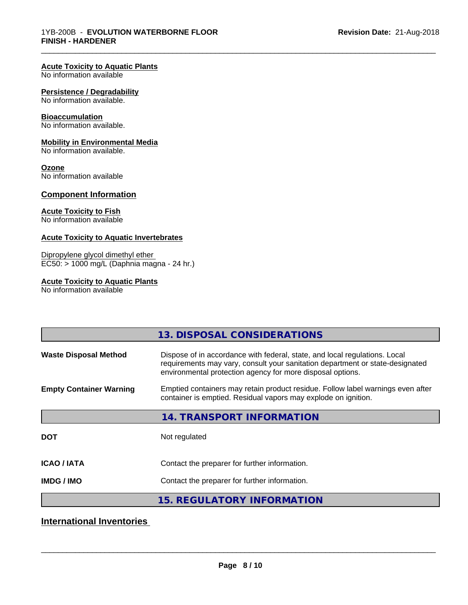#### **Acute Toxicity to Aquatic Plants**

No information available

#### **Persistence / Degradability**

No information available.

#### **Bioaccumulation**

No information available.

#### **Mobility in Environmental Media**

No information available.

#### **Ozone**

No information available

## **Component Information**

## **Acute Toxicity to Fish**

No information available

#### **Acute Toxicity to Aquatic Invertebrates**

Dipropylene glycol dimethyl ether EC50: > 1000 mg/L (Daphnia magna - 24 hr.)

# **Acute Toxicity to Aquatic Plants**

No information available

|                                | 13. DISPOSAL CONSIDERATIONS                                                                                                                                                                                               |
|--------------------------------|---------------------------------------------------------------------------------------------------------------------------------------------------------------------------------------------------------------------------|
| <b>Waste Disposal Method</b>   | Dispose of in accordance with federal, state, and local regulations. Local<br>requirements may vary, consult your sanitation department or state-designated<br>environmental protection agency for more disposal options. |
| <b>Empty Container Warning</b> | Emptied containers may retain product residue. Follow label warnings even after<br>container is emptied. Residual vapors may explode on ignition.                                                                         |
|                                | 14. TRANSPORT INFORMATION                                                                                                                                                                                                 |
| <b>DOT</b>                     | Not regulated                                                                                                                                                                                                             |
| <b>ICAO/IATA</b>               | Contact the preparer for further information.                                                                                                                                                                             |
| <b>IMDG/IMO</b>                | Contact the preparer for further information.                                                                                                                                                                             |
|                                | <b>15. REGULATORY INFORMATION</b>                                                                                                                                                                                         |

\_\_\_\_\_\_\_\_\_\_\_\_\_\_\_\_\_\_\_\_\_\_\_\_\_\_\_\_\_\_\_\_\_\_\_\_\_\_\_\_\_\_\_\_\_\_\_\_\_\_\_\_\_\_\_\_\_\_\_\_\_\_\_\_\_\_\_\_\_\_\_\_\_\_\_\_\_\_\_\_\_\_\_\_\_\_\_\_\_\_\_\_\_

# **International Inventories**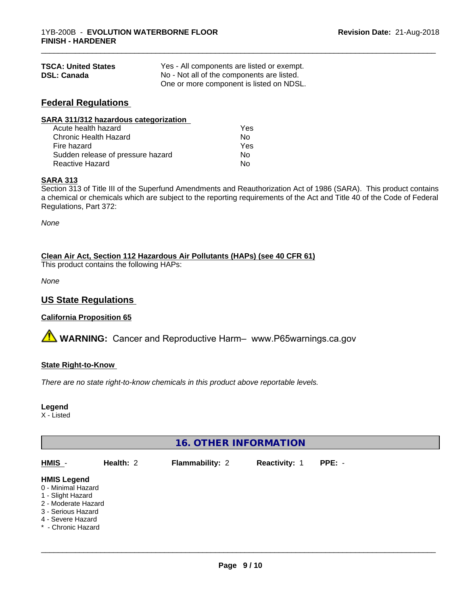| <b>TSCA: United States</b> | Yes - All components are listed or exempt. |
|----------------------------|--------------------------------------------|
| <b>DSL: Canada</b>         | No - Not all of the components are listed. |
|                            | One or more component is listed on NDSL.   |

# **Federal Regulations**

| SARA 311/312 hazardous categorization |     |  |
|---------------------------------------|-----|--|
| Acute health hazard                   | Yes |  |
| Chronic Health Hazard                 | No  |  |
| Fire hazard                           | Yes |  |
| Sudden release of pressure hazard     | No. |  |
| <b>Reactive Hazard</b>                | No  |  |

# **SARA 313**

Section 313 of Title III of the Superfund Amendments and Reauthorization Act of 1986 (SARA). This product contains a chemical or chemicals which are subject to the reporting requirements of the Act and Title 40 of the Code of Federal Regulations, Part 372:

\_\_\_\_\_\_\_\_\_\_\_\_\_\_\_\_\_\_\_\_\_\_\_\_\_\_\_\_\_\_\_\_\_\_\_\_\_\_\_\_\_\_\_\_\_\_\_\_\_\_\_\_\_\_\_\_\_\_\_\_\_\_\_\_\_\_\_\_\_\_\_\_\_\_\_\_\_\_\_\_\_\_\_\_\_\_\_\_\_\_\_\_\_

*None*

# **Clean Air Act,Section 112 Hazardous Air Pollutants (HAPs) (see 40 CFR 61)**

This product contains the following HAPs:

*None*

# **US State Regulations**

# **California Proposition 65**

**AN** WARNING: Cancer and Reproductive Harm– www.P65warnings.ca.gov

## **State Right-to-Know**

*There are no state right-to-know chemicals in this product above reportable levels.*

## **Legend**

X - Listed

# **16. OTHER INFORMATION**

| HMIS                                                                                                                                                  | Health: 2 | <b>Flammability: 2</b> | <b>Reactivity: 1</b> | $PPE: -$ |  |
|-------------------------------------------------------------------------------------------------------------------------------------------------------|-----------|------------------------|----------------------|----------|--|
| <b>HMIS Legend</b><br>0 - Minimal Hazard<br>1 - Slight Hazard<br>2 - Moderate Hazard<br>3 - Serious Hazard<br>4 - Severe Hazard<br>* - Chronic Hazard |           |                        |                      |          |  |
|                                                                                                                                                       |           |                        |                      |          |  |